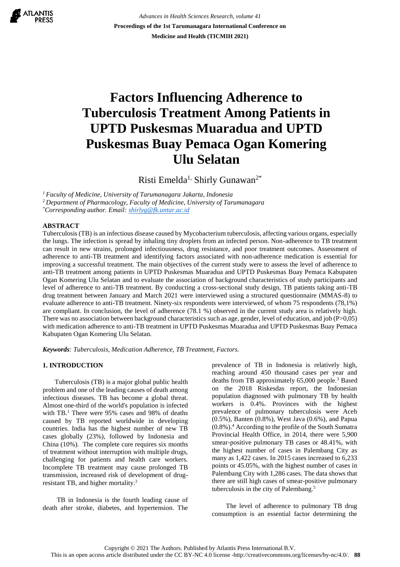ATLANTIS

*Advances in Health Sciences Research, volume 41* **Proceedings of the 1st Tarumanagara International Conference on Medicine and Health (TICMIH 2021)**

# **Factors Influencing Adherence to Tuberculosis Treatment Among Patients in UPTD Puskesmas Muaradua and UPTD Puskesmas Buay Pemaca Ogan Komering Ulu Selatan**

Risti Emelda<sup>1,</sup> Shirly Gunawan<sup>2\*</sup>

*<sup>1</sup> Faculty of Medicine, University of Tarumanagara Jakarta, Indonesia*

*<sup>2</sup>Department of Pharmacology, Faculty of Medicine, University of Tarumanagara*

*\*Corresponding author. Email: [shirlyg@fk.untar.ac.id](mailto:shirlyg@fk.untar.ac.id)*

## **ABSTRACT**

Tuberculosis (TB) is an infectious disease caused by Mycobacterium tuberculosis, affecting various organs, especially the lungs. The infection is spread by inhaling tiny droplets from an infected person. Non-adherence to TB treatment can result in new strains, prolonged infectiousness, drug resistance, and poor treatment outcomes. Assessment of adherence to anti-TB treatment and identifying factors associated with non-adherence medication is essential for improving a successful treatment. The main objectives of the current study were to assess the level of adherence to anti-TB treatment among patients in UPTD Puskesmas Muaradua and UPTD Puskesmas Buay Pemaca Kabupaten Ogan Komering Ulu Selatan and to evaluate the association of background characteristics of study participants and level of adherence to anti-TB treatment. By conducting a cross-sectional study design, TB patients taking anti-TB drug treatment between January and March 2021 were interviewed using a structured questionnaire (MMAS-8) to evaluate adherence to anti-TB treatment. Ninety-six respondents were interviewed, of whom 75 respondents (78,1%) are compliant. In conclusion, the level of adherence (78.1 %) observed in the current study area is relatively high. There was no association between background characteristics such as age, gender, level of education, and job (P>0,05) with medication adherence to anti-TB treatment in UPTD Puskesmas Muaradua and UPTD Puskesmas Buay Pemaca Kabupaten Ogan Komering Ulu Selatan.

*Keywords: Tuberculosis, Medication Adherence, TB Treatment, Factors.*

# **1. INTRODUCTION**

Tuberculosis (TB) is a major global public health problem and one of the leading causes of death among infectious diseases. TB has become a global threat. Almost one-third of the world's population is infected with TB.<sup>1</sup> There were 95% cases and 98% of deaths caused by TB reported worldwide in developing countries. India has the highest number of new TB cases globally (23%), followed by Indonesia and China (10%). The complete cure requires six months of treatment without interruption with multiple drugs, challenging for patients and health care workers. Incomplete TB treatment may cause prolonged TB transmission, increased risk of development of drugresistant TB, and higher mortality.<sup>2</sup>

TB in Indonesia is the fourth leading cause of death after stroke, diabetes, and hypertension. The prevalence of TB in Indonesia is relatively high, reaching around 450 thousand cases per year and deaths from TB approximately 65,000 people.<sup>3</sup> Based on the 2018 Riskesdas report, the Indonesian population diagnosed with pulmonary TB by health workers is 0.4%. Provinces with the highest prevalence of pulmonary tuberculosis were Aceh (0.5%), Banten (0.8%), West Java (0.6%), and Papua  $(0.8\%)$ .<sup>4</sup> According to the profile of the South Sumatra Provincial Health Office, in 2014, there were 5,900 smear-positive pulmonary TB cases or 48.41%, with the highest number of cases in Palembang City as many as 1,422 cases. In 2015 cases increased to 6,233 points or 45.05%, with the highest number of cases in Palembang City with 1,286 cases. The data shows that there are still high cases of smear-positive pulmonary tuberculosis in the city of Palembang.<sup>5</sup>

The level of adherence to pulmonary TB drug consumption is an essential factor determining the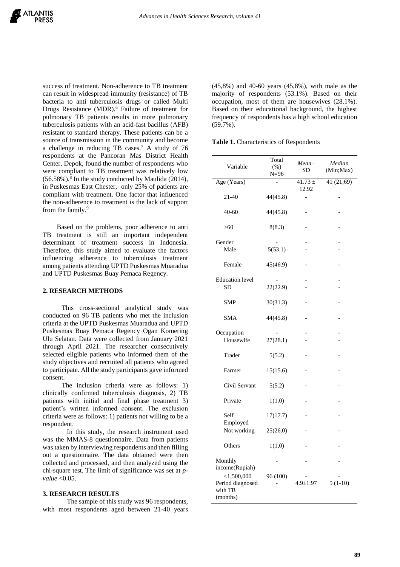success of treatment. Non-adherence to TB treatment can result in widespread immunity (resistance) of TB bacteria to anti tuberculosis drugs or called Multi Drugs Resistance (MDR).<sup>6</sup> Failure of treatment for pulmonary TB patients results in more pulmonary tuberculosis patients with an acid-fast bacillus (AFB) resistant to standard therapy. These patients can be a source of transmission in the community and become a challenge in reducing TB cases.<sup>7</sup> A study of 76 respondents at the Pancoran Mas District Health Center, Depok, found the number of respondents who were compliant to TB treatment was relatively low  $(56.58\%)$ .<sup>8</sup> In the study conducted by Maulida (2014), in Puskesmas East Chester, only 25% of patients are compliant with treatment. One factor that influenced the non-adherence to treatment is the lack of support from the family.<sup>9</sup>

Based on the problems, poor adherence to anti TB treatment is still an important independent determinant of treatment success in Indonesia. Therefore, this study aimed to evaluate the factors influencing adherence to tuberculosis treatment among patients attending UPTD Puskesmas Muaradua and UPTD Puskesmas Buay Pemaca Regency.

# **2. RESEARCH METHODS**

This cross-sectional analytical study was conducted on 96 TB patients who met the inclusion criteria at the UPTD Puskesmas Muaradua and UPTD Puskesmas Buay Pemaca Regency Ogan Komering Ulu Selatan. Data were collected from January 2021 through April 2021. The researcher consecutively selected eligible patients who informed them of the study objectives and recruited all patients who agreed to participate. All the study participants gave informed consent.

The inclusion criteria were as follows: 1) clinically confirmed tuberculosis diagnosis, 2) TB patients with initial and final phase treatment 3) patient's written informed consent. The exclusion criteria were as follows: 1) patients not willing to be a respondent.

In this study, the research instrument used was the MMAS-8 questionnaire. Data from patients was taken by interviewing respondents and then filling out a questionnaire. The data obtained were then collected and processed, and then analyzed using the chi-square test. The limit of significance was set at *pvalue* <0.05.

## **3. RESEARCH RESULTS**

The sample of this study was 96 respondents, with most respondents aged between 21-40 years (45,8%) and 40-60 years (45,8%), with male as the majority of respondents (53.1%). Based on their occupation, most of them are housewives (28.1%). Based on their educational background, the highest frequency of respondents has a high school education (59.7%).

**Table 1.** Characteristics of Respondents

| Variable                                                 | Total<br>$(\% )$<br>$N = 96$ | $Mean \pm$<br><b>SD</b>  | Median<br>(Min;Max) |  |
|----------------------------------------------------------|------------------------------|--------------------------|---------------------|--|
| Age (Years)                                              |                              | $41.73 \pm$<br>12.92     | 41 (21;69)          |  |
| 21-40                                                    | 44(45.8)                     | $\overline{\phantom{0}}$ |                     |  |
| $40 - 60$                                                | 44(45.8)                     |                          |                     |  |
| >60                                                      | 8(8.3)                       |                          |                     |  |
| Gender<br>Male                                           | 5(53.1)                      |                          |                     |  |
| Female                                                   | 45(46.9)                     |                          |                     |  |
| <b>Education</b> level<br><b>SD</b>                      | 22(22.9)                     |                          |                     |  |
| <b>SMP</b>                                               | 30(31.3)                     |                          |                     |  |
| <b>SMA</b>                                               | 44(45.8)                     |                          |                     |  |
| Occupation<br>Housewife                                  | 27(28.1)                     |                          |                     |  |
| Trader                                                   | 5(5.2)                       |                          |                     |  |
| Farmer                                                   | 15(15.6)                     |                          |                     |  |
| Civil Servant                                            | 5(5.2)                       |                          |                     |  |
| Private                                                  | 1(1.0)                       |                          |                     |  |
| Self<br>Employed<br>Not working<br>Others                | 17(17.7)                     |                          |                     |  |
|                                                          | 25(26.0)                     |                          |                     |  |
|                                                          | 1(1,0)                       |                          |                     |  |
| Monthly<br>income(Rupiah)                                |                              |                          |                     |  |
| $<$ 1,500,000<br>Period diagnosed<br>with TB<br>(months) | 96 (100)                     | $4.9 \pm 1.97$           | $5(1-10)$           |  |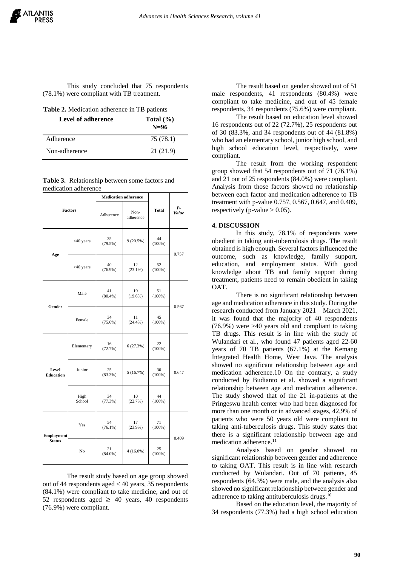This study concluded that 75 respondents (78.1%) were compliant with TB treatment.

| Level of adherence | Total $(\% )$<br>$N=96$ |
|--------------------|-------------------------|
| Adherence          | 75 (78.1)               |
| Non-adherence      | 21 (21.9)               |

**Table 3.** Relationship between some factors and medication adherence

| <b>Factors</b>                     |                | <b>Medication adherence</b> |                   |                 |             |
|------------------------------------|----------------|-----------------------------|-------------------|-----------------|-------------|
|                                    |                | Adherence                   | Non-<br>adherence | <b>Total</b>    | P-<br>Value |
| Age                                | <40 years      | 35<br>$(79.5\%)$            | 9(20.5%)          | 44<br>$(100\%)$ | 0.757       |
|                                    | $>40$ years    | 40<br>$(76.9\%)$            | 12<br>$(23.1\%)$  | 52<br>$(100\%)$ |             |
| Gender                             | Male           | 41<br>$(80.4\%)$            | 10<br>$(19.6\%)$  | 51<br>$(100\%)$ | 0.567       |
|                                    | Female         | 34<br>$(75.6\%)$            | 11<br>(24.4%)     | 45<br>$(100\%)$ |             |
| Level<br><b>Education</b>          | Elementary     | 16<br>(72.7%)               | 6(27.3%)          | 22<br>$(100\%)$ |             |
|                                    | Junior         | 25<br>$(83.3\%)$            | 5(16.7%)          | 30<br>$(100\%)$ | 0.647       |
|                                    | High<br>School | 34<br>(77.3%)               | 10<br>(22.7%)     | 44<br>$(100\%)$ |             |
| <b>Employment</b><br><b>Status</b> | Yes            | 54<br>$(76.1\%)$            | 17<br>$(23.9\%)$  | 71<br>$(100\%)$ | 0.409       |
|                                    | No             | 21<br>$(84.0\%)$            | $4(16.0\%)$       | 25<br>$(100\%)$ |             |

The result study based on age group showed out of 44 respondents aged < 40 years, 35 respondents (84.1%) were compliant to take medicine, and out of 52 respondents aged  $\geq$  40 years, 40 respondents (76.9%) were compliant.

The result based on gender showed out of 51 male respondents, 41 respondents (80.4%) were compliant to take medicine, and out of 45 female respondents, 34 respondents (75.6%) were compliant.

The result based on education level showed 16 respondents out of 22 (72.7%), 25 respondents out of 30 (83.3%, and 34 respondents out of 44 (81.8%) who had an elementary school, junior high school, and high school education level, respectively, were compliant.

The result from the working respondent group showed that 54 respondents out of 71 (76,1%) and 21 out of 25 respondents (84.0%) were compliant. Analysis from those factors showed no relationship between each factor and medication adherence to TB treatment with p-value 0.757, 0.567, 0.647, and 0.409, respectively (p-value  $> 0.05$ ).

#### **4. DISCUSSION**

In this study, 78.1% of respondents were obedient in taking anti-tuberculosis drugs. The result obtained is high enough. Several factors influenced the outcome, such as knowledge, family support, education, and employment status. With good knowledge about TB and family support during treatment, patients need to remain obedient in taking OAT.

There is no significant relationship between age and medication adherence in this study. During the research conducted from January 2021 – March 2021, it was found that the majority of 40 respondents (76.9%) were >40 years old and compliant to taking TB drugs. This result is in line with the study of Wulandari et al., who found 47 patients aged 22-60 years of 70 TB patients (67.1%) at the Kemang Integrated Health Home, West Java. The analysis showed no significant relationship between age and medication adherence.10 On the contrary, a study conducted by Budianto et al. showed a significant relationship between age and medication adherence. The study showed that of the 21 in-patients at the Pringeswu health center who had been diagnosed for more than one month or in advanced stages, 42,9% of patients who were 50 years old were compliant to taking anti-tuberculosis drugs. This study states that there is a significant relationship between age and medication adherence.<sup>11</sup>

Analysis based on gender showed no significant relationship between gender and adherence to taking OAT. This result is in line with research conducted by Wulandari. Out of 70 patients, 45 respondents (64.3%) were male, and the analysis also showed no significant relationship between gender and adherence to taking antituberculosis drugs.<sup>10</sup>

Based on the education level, the majority of 34 respondents (77.3%) had a high school education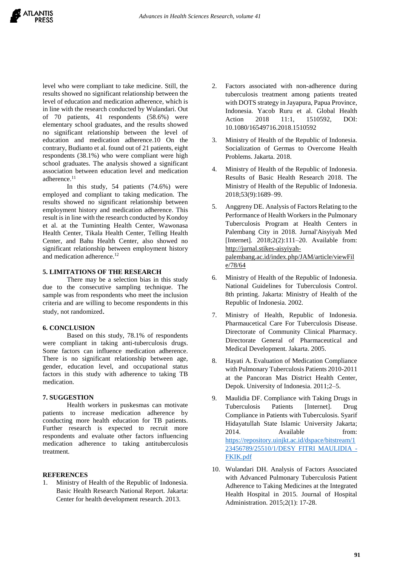level who were compliant to take medicine. Still, the results showed no significant relationship between the level of education and medication adherence, which is in line with the research conducted by Wulandari. Out of 70 patients, 41 respondents (58.6%) were elementary school graduates, and the results showed no significant relationship between the level of education and medication adherence.10 On the contrary, Budianto et al. found out of 21 patients, eight respondents (38.1%) who were compliant were high school graduates. The analysis showed a significant association between education level and medication adherence.<sup>11</sup>

In this study, 54 patients (74.6%) were employed and compliant to taking medication. The results showed no significant relationship between employment history and medication adherence. This result is in line with the research conducted by Kondoy et al. at the Tuminting Health Center, Wawonasa Health Center, Tikala Health Center, Telling Health Center, and Bahu Health Center, also showed no significant relationship between employment history and medication adherence.<sup>12</sup>

## **5. LIMITATIONS OF THE RESEARCH**

There may be a selection bias in this study due to the consecutive sampling technique. The sample was from respondents who meet the inclusion criteria and are willing to become respondents in this study, not randomized.

## **6. CONCLUSION**

Based on this study, 78.1% of respondents were compliant in taking anti-tuberculosis drugs. Some factors can influence medication adherence. There is no significant relationship between age, gender, education level, and occupational status factors in this study with adherence to taking TB medication.

# **7. SUGGESTION**

Health workers in puskesmas can motivate patients to increase medication adherence by conducting more health education for TB patients. Further research is expected to recruit more respondents and evaluate other factors influencing medication adherence to taking antituberculosis treatment.

# **REFERENCES**

1. Ministry of Health of the Republic of Indonesia. Basic Health Research National Report*.* Jakarta: Center for health development research. 2013.

- 2. Factors associated with non-adherence during tuberculosis treatment among patients treated with DOTS strategy in Jayapura, Papua Province, Indonesia. Yacob Ruru et al. Global Health Action 2018 11:1, 1510592, DOI: 10.1080/16549716.2018.1510592
- 3. Ministry of Health of the Republic of Indonesia. Socialization of Germas to Overcome Health Problems. Jakarta. 2018.
- 4. Ministry of Health of the Republic of Indonesia. Results of Basic Health Research 2018. The Ministry of Health of the Republic of Indonesia. 2018;53(9):1689–99.
- 5. Anggreny DE. Analysis of Factors Relating to the Performance of Health Workers in the Pulmonary Tuberculosis Program at Health Centers in Palembang City in 2018. Jurnal'Aisyiyah Med [Internet]. 2018;2(2):111-20. Available from: [http://jurnal.stikes-aisyiyah](http://jurnal.stikes-aisyiyah-palembang.ac.id/index.php/JAM/article/viewFile/78/64)[palembang.ac.id/index.php/JAM/article/viewFil](http://jurnal.stikes-aisyiyah-palembang.ac.id/index.php/JAM/article/viewFile/78/64) [e/78/64](http://jurnal.stikes-aisyiyah-palembang.ac.id/index.php/JAM/article/viewFile/78/64)
- 6. Ministry of Health of the Republic of Indonesia. National Guidelines for Tuberculosis Control. 8th printing. Jakarta: Ministry of Health of the Republic of Indonesia. 2002.
- 7. Ministry of Health, Republic of Indonesia. Pharmaucetical Care For Tuberculosis Disease. Directorate of Community Clinical Pharmacy. Directorate General of Pharmaceutical and Medical Development. Jakarta. 2005.
- 8. Hayati A. Evaluation of Medication Compliance with Pulmonary Tuberculosis Patients 2010-2011 at the Pancoran Mas District Health Center, Depok. University of Indonesia. 2011;2–5.
- 9. Maulidia DF. Compliance with Taking Drugs in Tuberculosis Patients [Internet]. Drug Compliance in Patients with Tuberculosis. Syarif Hidayatullah State Islamic University Jakarta; 2014. Available from: [https://repository.uinjkt.ac.id/dspace/bitstream/1](https://repository.uinjkt.ac.id/dspace/bitstream/123456789/25510/1/DESY%20FITRI%20MAULIDIA%20-%20FKIK.pdf) [23456789/25510/1/DESY FITRI MAULIDIA -](https://repository.uinjkt.ac.id/dspace/bitstream/123456789/25510/1/DESY%20FITRI%20MAULIDIA%20-%20FKIK.pdf) [FKIK.pdf](https://repository.uinjkt.ac.id/dspace/bitstream/123456789/25510/1/DESY%20FITRI%20MAULIDIA%20-%20FKIK.pdf)
- 10. Wulandari DH. Analysis of Factors Associated with Advanced Pulmonary Tuberculosis Patient Adherence to Taking Medicines at the Integrated Health Hospital in 2015. Journal of Hospital Administration. 2015;2(1): 17-28.